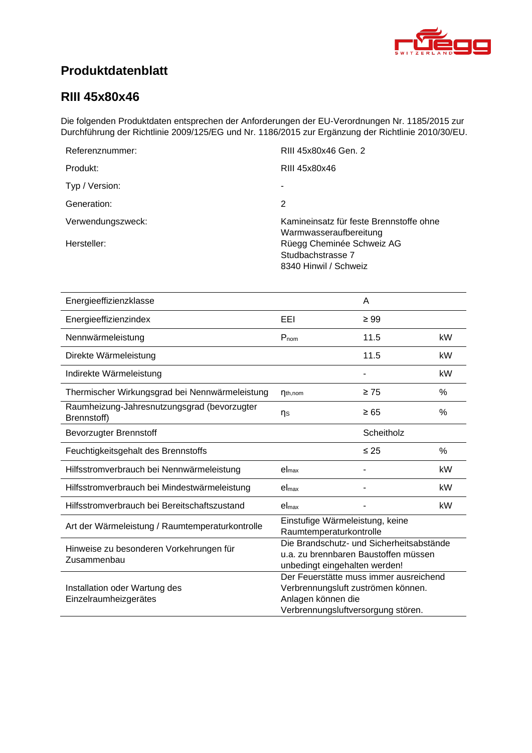<span id="page-0-4"></span><span id="page-0-3"></span><span id="page-0-2"></span><span id="page-0-1"></span>

# **Produktdatenblatt**

### <span id="page-0-0"></span>**RIII 45x80x46**

Die folgenden Produktdaten entsprechen der Anforderungen der EU-Verordnungen Nr. 1185/2015 zur Durchführung der Richtlinie 2009/125/EG und Nr. 1186/2015 zur Ergänzung der Richtlinie 2010/30/EU.

| Referenznummer:   | RIII 45x80x46 Gen. 2                                                    |
|-------------------|-------------------------------------------------------------------------|
| Produkt:          | RIII 45x80x46                                                           |
| Typ / Version:    |                                                                         |
| Generation:       | 2                                                                       |
| Verwendungszweck: | Kamineinsatz für feste Brennstoffe ohne<br>Warmwasseraufbereitung       |
| Hersteller:       | Rüegg Cheminée Schweiz AG<br>Studbachstrasse 7<br>8340 Hinwil / Schweiz |

<span id="page-0-8"></span><span id="page-0-7"></span><span id="page-0-6"></span><span id="page-0-5"></span>

| Energieeffizienzklasse                                     |                                                                                                                                          | A          |               |
|------------------------------------------------------------|------------------------------------------------------------------------------------------------------------------------------------------|------------|---------------|
| Energieeffizienzindex                                      | EEI                                                                                                                                      | $\geq 99$  |               |
| Nennwärmeleistung                                          | $P_{nom}$                                                                                                                                | 11.5       | kW            |
| Direkte Wärmeleistung                                      |                                                                                                                                          | 11.5       | kW            |
| Indirekte Wärmeleistung                                    |                                                                                                                                          |            | kW            |
| Thermischer Wirkungsgrad bei Nennwärmeleistung             | $\eta_{th,nom}$                                                                                                                          | $\geq 75$  | %             |
| Raumheizung-Jahresnutzungsgrad (bevorzugter<br>Brennstoff) | ηs                                                                                                                                       | $\geq 65$  | %             |
| <b>Bevorzugter Brennstoff</b>                              |                                                                                                                                          | Scheitholz |               |
| Feuchtigkeitsgehalt des Brennstoffs                        |                                                                                                                                          | $\leq 25$  | $\frac{0}{0}$ |
| Hilfsstromverbrauch bei Nennwärmeleistung                  | el <sub>max</sub>                                                                                                                        |            | kW            |
| Hilfsstromverbrauch bei Mindestwärmeleistung               | el <sub>max</sub>                                                                                                                        |            | kW            |
| Hilfsstromverbrauch bei Bereitschaftszustand               | el <sub>max</sub>                                                                                                                        |            | kW            |
| Art der Wärmeleistung / Raumtemperaturkontrolle            | Einstufige Wärmeleistung, keine<br>Raumtemperaturkontrolle                                                                               |            |               |
| Hinweise zu besonderen Vorkehrungen für<br>Zusammenbau     | Die Brandschutz- und Sicherheitsabstände<br>u.a. zu brennbaren Baustoffen müssen<br>unbedingt eingehalten werden!                        |            |               |
| Installation oder Wartung des<br>Einzelraumheizgerätes     | Der Feuerstätte muss immer ausreichend<br>Verbrennungsluft zuströmen können.<br>Anlagen können die<br>Verbrennungsluftversorgung stören. |            |               |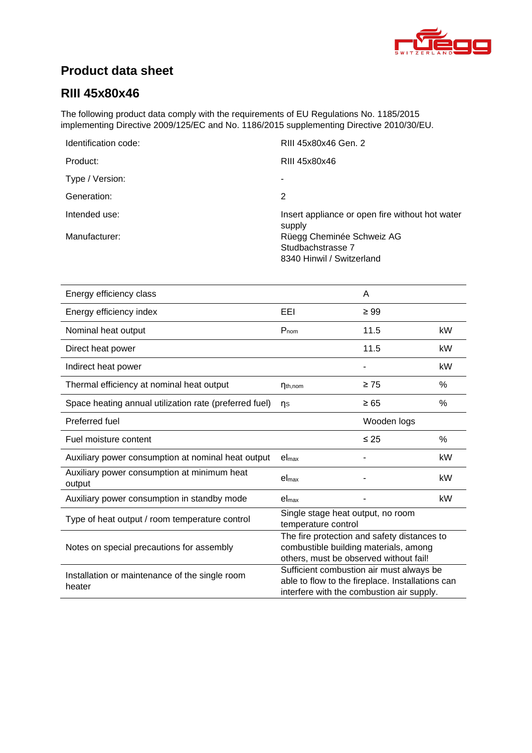

# **Product data sheet**

## **RIII [45x80x46](#page-0-0)**

The following product data comply with the requirements of EU Regulations No. 1185/2015 implementing Directive 2009/125/EC and No. 1186/2015 supplementing Directive 2010/30/EU.

| Identification code: | RIII 45x80x46 Gen. 2                                      |
|----------------------|-----------------------------------------------------------|
| Product:             | RIII 45x80x46                                             |
| Type / Version:      | ۰                                                         |
| Generation:          | 2                                                         |
| Intended use:        | Insert appliance or open fire without hot water<br>supply |
| Manufacturer:        | Rüegg Cheminée Schweiz AG                                 |
|                      | Studbachstrasse 7                                         |
|                      | 8340 Hinwil / Switzerland                                 |

| Energy efficiency class                                  |                                                                                                                                           | A           |      |
|----------------------------------------------------------|-------------------------------------------------------------------------------------------------------------------------------------------|-------------|------|
| Energy efficiency index                                  | EEI                                                                                                                                       | $\geq 99$   |      |
| Nominal heat output                                      | $P_{nom}$                                                                                                                                 | 11.5        | kW   |
| Direct heat power                                        |                                                                                                                                           | 11.5        | kW   |
| Indirect heat power                                      |                                                                                                                                           |             | kW   |
| Thermal efficiency at nominal heat output                | $\eta_{th,nom}$                                                                                                                           | $\geq 75$   | %    |
| Space heating annual utilization rate (preferred fuel)   | $\n  n$                                                                                                                                   | $\geq 65$   | $\%$ |
| Preferred fuel                                           |                                                                                                                                           | Wooden logs |      |
| Fuel moisture content                                    |                                                                                                                                           | $\leq 25$   | $\%$ |
| Auxiliary power consumption at nominal heat output       | el <sub>max</sub>                                                                                                                         |             | kW   |
| Auxiliary power consumption at minimum heat<br>output    | $el_{max}$                                                                                                                                |             | kW   |
| Auxiliary power consumption in standby mode              | el <sub>max</sub>                                                                                                                         |             | kW   |
| Type of heat output / room temperature control           | Single stage heat output, no room<br>temperature control                                                                                  |             |      |
| Notes on special precautions for assembly                | The fire protection and safety distances to<br>combustible building materials, among<br>others, must be observed without fail!            |             |      |
| Installation or maintenance of the single room<br>heater | Sufficient combustion air must always be<br>able to flow to the fireplace. Installations can<br>interfere with the combustion air supply. |             |      |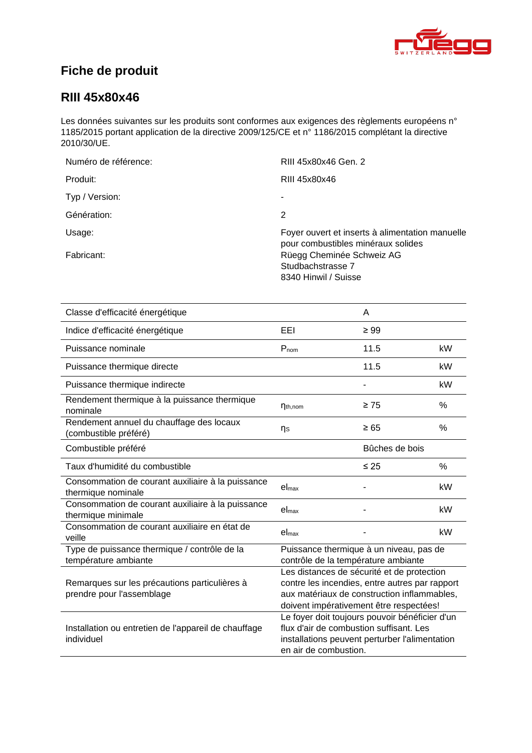

# **Fiche de produit**

### **RIII [45x80x46](#page-0-0)**

Les données suivantes sur les produits sont conformes aux exigences des règlements européens n° 1185/2015 portant application de la directive 2009/125/CE et n° 1186/2015 complétant la directive 2010/30/UE.

| Numéro de référence: | RIII 45x80x46 Gen. 2                                                                  |
|----------------------|---------------------------------------------------------------------------------------|
| Produit:             | RIII 45x80x46                                                                         |
| Typ / Version:       | ۰                                                                                     |
| Génération:          | 2                                                                                     |
| Usage:               | Foyer ouvert et inserts à alimentation manuelle<br>pour combustibles minéraux solides |
| Fabricant:           | Rüegg Cheminée Schweiz AG<br>Studbachstrasse 7<br>8340 Hinwil / Suisse                |

| Classe d'efficacité énergétique                                            |                                                                                                                                                                                        | A         |      |
|----------------------------------------------------------------------------|----------------------------------------------------------------------------------------------------------------------------------------------------------------------------------------|-----------|------|
| Indice d'efficacité énergétique                                            | EEL                                                                                                                                                                                    | $\geq 99$ |      |
| Puissance nominale                                                         | $P_{nom}$                                                                                                                                                                              | 11.5      | kW   |
| Puissance thermique directe                                                |                                                                                                                                                                                        | 11.5      | kW   |
| Puissance thermique indirecte                                              |                                                                                                                                                                                        |           | kW   |
| Rendement thermique à la puissance thermique<br>nominale                   | $\eta_{th,nom}$                                                                                                                                                                        | $\geq 75$ | $\%$ |
| Rendement annuel du chauffage des locaux<br>(combustible préféré)          | ηs                                                                                                                                                                                     | $\geq 65$ | %    |
| Combustible préféré                                                        | Bûches de bois                                                                                                                                                                         |           |      |
| Taux d'humidité du combustible                                             |                                                                                                                                                                                        | $\leq 25$ | $\%$ |
| Consommation de courant auxiliaire à la puissance<br>thermique nominale    | el <sub>max</sub>                                                                                                                                                                      |           | kW   |
| Consommation de courant auxiliaire à la puissance<br>thermique minimale    | el <sub>max</sub>                                                                                                                                                                      |           | kW   |
| Consommation de courant auxiliaire en état de<br>veille                    | el <sub>max</sub>                                                                                                                                                                      |           | kW   |
| Type de puissance thermique / contrôle de la<br>température ambiante       | Puissance thermique à un niveau, pas de<br>contrôle de la température ambiante                                                                                                         |           |      |
| Remarques sur les précautions particulières à<br>prendre pour l'assemblage | Les distances de sécurité et de protection<br>contre les incendies, entre autres par rapport<br>aux matériaux de construction inflammables,<br>doivent impérativement être respectées! |           |      |
| Installation ou entretien de l'appareil de chauffage<br>individuel         | Le foyer doit toujours pouvoir bénéficier d'un<br>flux d'air de combustion suffisant. Les<br>installations peuvent perturber l'alimentation<br>en air de combustion.                   |           |      |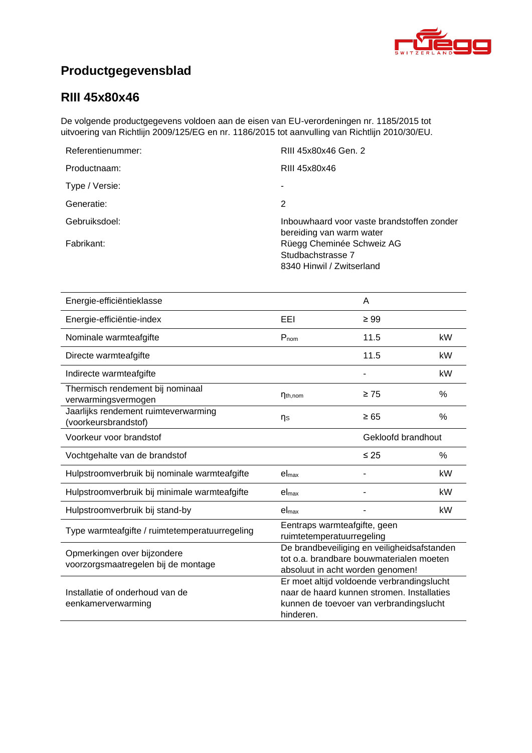

# **Productgegevensblad**

## **RIII [45x80x46](#page-0-0)**

De volgende productgegevens voldoen aan de eisen van EU-verordeningen nr. 1185/2015 tot uitvoering van Richtlijn 2009/125/EG en nr. 1186/2015 tot aanvulling van Richtlijn 2010/30/EU.

| RIII 45x80x46 Gen. 2                                                        |
|-----------------------------------------------------------------------------|
| RIII 45x80x46                                                               |
|                                                                             |
| 2                                                                           |
| Inbouwhaard voor vaste brandstoffen zonder<br>bereiding van warm water      |
| Rüegg Cheminée Schweiz AG<br>Studbachstrasse 7<br>8340 Hinwil / Zwitserland |
|                                                                             |

| Energie-efficiëntieklasse                                          |                                                                                                                                                  | A         |               |
|--------------------------------------------------------------------|--------------------------------------------------------------------------------------------------------------------------------------------------|-----------|---------------|
| Energie-efficiëntie-index                                          | EEI                                                                                                                                              | $\geq 99$ |               |
| Nominale warmteafgifte                                             | $P_{nom}$                                                                                                                                        | 11.5      | kW            |
| Directe warmteafgifte                                              |                                                                                                                                                  | 11.5      | kW            |
| Indirecte warmteafgifte                                            |                                                                                                                                                  |           | kW            |
| Thermisch rendement bij nominaal<br>verwarmingsvermogen            | $\eta_{th,nom}$                                                                                                                                  | $\geq 75$ | $\frac{0}{0}$ |
| Jaarlijks rendement ruimteverwarming<br>(voorkeursbrandstof)       | ηs                                                                                                                                               | $\geq 65$ | %             |
| Voorkeur voor brandstof                                            | Gekloofd brandhout                                                                                                                               |           |               |
| Vochtgehalte van de brandstof                                      |                                                                                                                                                  | $\leq 25$ | $\%$          |
| Hulpstroomverbruik bij nominale warmteafgifte                      | el <sub>max</sub>                                                                                                                                |           | kW            |
| Hulpstroomverbruik bij minimale warmteafgifte                      | el <sub>max</sub>                                                                                                                                |           | kW            |
| Hulpstroomverbruik bij stand-by                                    | el <sub>max</sub>                                                                                                                                |           | kW            |
| Type warmteafgifte / ruimtetemperatuurregeling                     | Eentraps warmteafgifte, geen<br>ruimtetemperatuurregeling                                                                                        |           |               |
| Opmerkingen over bijzondere<br>voorzorgsmaatregelen bij de montage | De brandbeveiliging en veiligheidsafstanden<br>tot o.a. brandbare bouwmaterialen moeten<br>absoluut in acht worden genomen!                      |           |               |
| Installatie of onderhoud van de<br>eenkamerverwarming              | Er moet altijd voldoende verbrandingslucht<br>naar de haard kunnen stromen. Installaties<br>kunnen de toevoer van verbrandingslucht<br>hinderen. |           |               |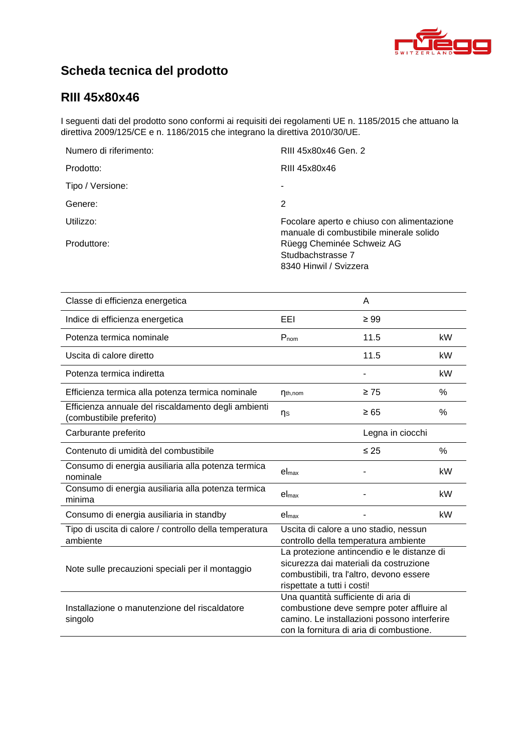

# **Scheda tecnica del prodotto**

### **RIII [45x80x46](#page-0-0)**

I seguenti dati del prodotto sono conformi ai requisiti dei regolamenti UE n. 1185/2015 che attuano la direttiva 2009/125/CE e n. 1186/2015 che integrano la direttiva 2010/30/UE.

| RIII 45x80x46 Gen. 2                                                                  |
|---------------------------------------------------------------------------------------|
| RIII 45x80x46                                                                         |
|                                                                                       |
| 2                                                                                     |
| Focolare aperto e chiuso con alimentazione<br>manuale di combustibile minerale solido |
| Rüegg Cheminée Schweiz AG<br>Studbachstrasse 7<br>8340 Hinwil / Svizzera              |
|                                                                                       |

| Classe di efficienza energetica                                                 |                                                                                                                                                                              | A         |      |
|---------------------------------------------------------------------------------|------------------------------------------------------------------------------------------------------------------------------------------------------------------------------|-----------|------|
| Indice di efficienza energetica                                                 | EEI                                                                                                                                                                          | $\geq 99$ |      |
| Potenza termica nominale                                                        | $P_{nom}$                                                                                                                                                                    | 11.5      | kW   |
| Uscita di calore diretto                                                        |                                                                                                                                                                              | 11.5      | kW   |
| Potenza termica indiretta                                                       |                                                                                                                                                                              |           | kW   |
| Efficienza termica alla potenza termica nominale                                | $n_{th,nom}$                                                                                                                                                                 | $\geq 75$ | %    |
| Efficienza annuale del riscaldamento degli ambienti<br>(combustibile preferito) | ηs                                                                                                                                                                           | $\geq 65$ | %    |
| Carburante preferito                                                            | Legna in ciocchi                                                                                                                                                             |           |      |
| Contenuto di umidità del combustibile                                           |                                                                                                                                                                              | $\leq 25$ | $\%$ |
| Consumo di energia ausiliaria alla potenza termica<br>nominale                  | el <sub>max</sub>                                                                                                                                                            |           | kW   |
| Consumo di energia ausiliaria alla potenza termica<br>minima                    | el <sub>max</sub>                                                                                                                                                            |           | kW   |
| Consumo di energia ausiliaria in standby                                        | el <sub>max</sub>                                                                                                                                                            |           | kW   |
| Tipo di uscita di calore / controllo della temperatura<br>ambiente              | Uscita di calore a uno stadio, nessun<br>controllo della temperatura ambiente                                                                                                |           |      |
| Note sulle precauzioni speciali per il montaggio                                | La protezione antincendio e le distanze di<br>sicurezza dai materiali da costruzione<br>combustibili, tra l'altro, devono essere<br>rispettate a tutti i costi!              |           |      |
| Installazione o manutenzione del riscaldatore<br>singolo                        | Una quantità sufficiente di aria di<br>combustione deve sempre poter affluire al<br>camino. Le installazioni possono interferire<br>con la fornitura di aria di combustione. |           |      |